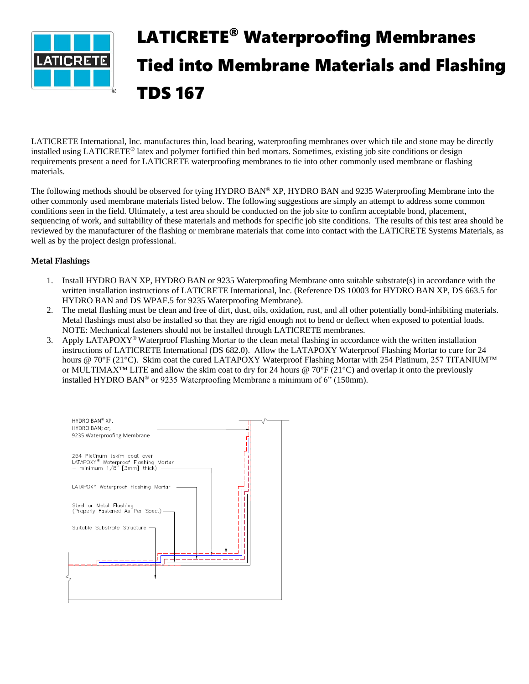

# LATICRETE® Waterproofing Membranes Tied into Membrane Materials and Flashing TDS 167

LATICRETE International, Inc. manufactures thin, load bearing, waterproofing membranes over which tile and stone may be directly installed using LATICRETE® latex and polymer fortified thin bed mortars. Sometimes, existing job site conditions or design requirements present a need for LATICRETE waterproofing membranes to tie into other commonly used membrane or flashing materials.

The following methods should be observed for tying HYDRO BAN® XP, HYDRO BAN and 9235 Waterproofing Membrane into the other commonly used membrane materials listed below. The following suggestions are simply an attempt to address some common conditions seen in the field. Ultimately, a test area should be conducted on the job site to confirm acceptable bond, placement, sequencing of work, and suitability of these materials and methods for specific job site conditions. The results of this test area should be reviewed by the manufacturer of the flashing or membrane materials that come into contact with the LATICRETE Systems Materials, as well as by the project design professional.

### **Metal Flashings**

- 1. Install HYDRO BAN XP, HYDRO BAN or 9235 Waterproofing Membrane onto suitable substrate(s) in accordance with the written installation instructions of LATICRETE International, Inc. (Reference DS 10003 for HYDRO BAN XP, DS 663.5 for HYDRO BAN and DS WPAF.5 for 9235 Waterproofing Membrane).
- 2. The metal flashing must be clean and free of dirt, dust, oils, oxidation, rust, and all other potentially bond-inhibiting materials. Metal flashings must also be installed so that they are rigid enough not to bend or deflect when exposed to potential loads. NOTE: Mechanical fasteners should not be installed through LATICRETE membranes.
- 3. Apply LATAPOXY® Waterproof Flashing Mortar to the clean metal flashing in accordance with the written installation instructions of LATICRETE International (DS 682.0). Allow the LATAPOXY Waterproof Flashing Mortar to cure for 24 hours @ 70°F (21°C). Skim coat the cured LATAPOXY Waterproof Flashing Mortar with 254 Platinum, 257 TITANIUM™ or MULTIMAX™ LITE and allow the skim coat to dry for 24 hours @ 70°F (21°C) and overlap it onto the previously installed HYDRO BAN® or 9235 Waterproofing Membrane a minimum of 6" (150mm).

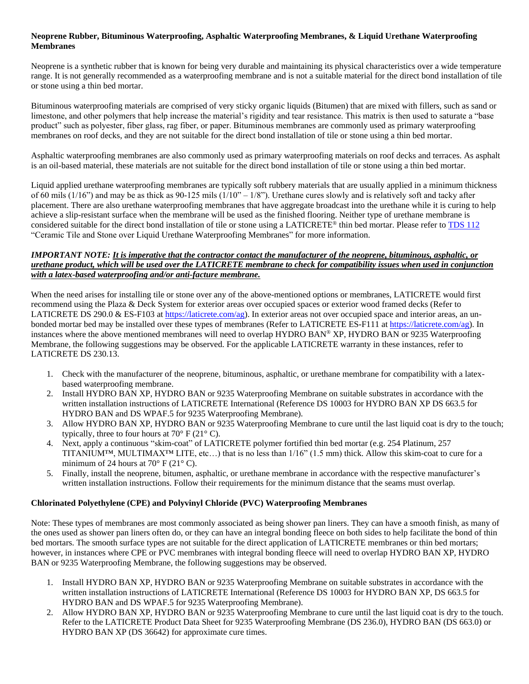### **Neoprene Rubber, Bituminous Waterproofing, Asphaltic Waterproofing Membranes, & Liquid Urethane Waterproofing Membranes**

Neoprene is a synthetic rubber that is known for being very durable and maintaining its physical characteristics over a wide temperature range. It is not generally recommended as a waterproofing membrane and is not a suitable material for the direct bond installation of tile or stone using a thin bed mortar.

Bituminous waterproofing materials are comprised of very sticky organic liquids (Bitumen) that are mixed with fillers, such as sand or limestone, and other polymers that help increase the material's rigidity and tear resistance. This matrix is then used to saturate a "base product" such as polyester, fiber glass, rag fiber, or paper. Bituminous membranes are commonly used as primary waterproofing membranes on roof decks, and they are not suitable for the direct bond installation of tile or stone using a thin bed mortar.

Asphaltic waterproofing membranes are also commonly used as primary waterproofing materials on roof decks and terraces. As asphalt is an oil-based material, these materials are not suitable for the direct bond installation of tile or stone using a thin bed mortar.

Liquid applied urethane waterproofing membranes are typically soft rubbery materials that are usually applied in a minimum thickness of 60 mils (1/16") and may be as thick as 90-125 mils (1/10" – 1/8"). Urethane cures slowly and is relatively soft and tacky after placement. There are also urethane waterproofing membranes that have aggregate broadcast into the urethane while it is curing to help achieve a slip-resistant surface when the membrane will be used as the finished flooring. Neither type of urethane membrane is considered suitable for the direct bond installation of tile or stone using a LATICRETE® thin bed mortar. Please refer to [TDS](https://cdn.laticrete.com/~/media/support-and-downloads/technical-datasheets/tds112.ashx) 112 "Ceramic Tile and Stone over Liquid Urethane Waterproofing Membranes" for more information.

### *IMPORTANT NOTE: It is imperative that the contractor contact the manufacturer of the neoprene, bituminous, asphaltic, or urethane product, which will be used over the LATICRETE membrane to check for compatibility issues when used in conjunction with a latex-based waterproofing and/or anti-facture membrane.*

When the need arises for installing tile or stone over any of the above-mentioned options or membranes, LATICRETE would first recommend using the Plaza & Deck System for exterior areas over occupied spaces or exterior wood framed decks (Refer to LATICRETE DS 290.0 & ES-F103 at [https://laticrete.com/ag\)](https://laticrete.com/ag). In exterior areas not over occupied space and interior areas, an unbonded mortar bed may be installed over these types of membranes (Refer to LATICRETE ES-F111 at [https://laticrete.com/ag\)](https://laticrete.com/ag). In instances where the above mentioned membranes will need to overlap HYDRO BAN® XP, HYDRO BAN or 9235 Waterproofing Membrane, the following suggestions may be observed. For the applicable LATICRETE warranty in these instances, refer to LATICRETE DS 230.13.

- 1. Check with the manufacturer of the neoprene, bituminous, asphaltic, or urethane membrane for compatibility with a latexbased waterproofing membrane.
- 2. Install HYDRO BAN XP, HYDRO BAN or 9235 Waterproofing Membrane on suitable substrates in accordance with the written installation instructions of LATICRETE International (Reference DS 10003 for HYDRO BAN XP DS 663.5 for HYDRO BAN and DS WPAF.5 for 9235 Waterproofing Membrane).
- 3. Allow HYDRO BAN XP, HYDRO BAN or 9235 Waterproofing Membrane to cure until the last liquid coat is dry to the touch; typically, three to four hours at  $70^{\circ}$  F (21 $^{\circ}$  C).
- 4. Next, apply a continuous "skim-coat" of LATICRETE polymer fortified thin bed mortar (e.g. 254 Platinum, 257 TITANIUM™, MULTIMAX™ LITE, etc…) that is no less than 1/16" (1.5 mm) thick. Allow this skim-coat to cure for a minimum of 24 hours at  $70^{\circ}$  F (21° C).
- 5. Finally, install the neoprene, bitumen, asphaltic, or urethane membrane in accordance with the respective manufacturer's written installation instructions. Follow their requirements for the minimum distance that the seams must overlap.

## **Chlorinated Polyethylene (CPE) and Polyvinyl Chloride (PVC) Waterproofing Membranes**

Note: These types of membranes are most commonly associated as being shower pan liners. They can have a smooth finish, as many of the ones used as shower pan liners often do, or they can have an integral bonding fleece on both sides to help facilitate the bond of thin bed mortars. The smooth surface types are not suitable for the direct application of LATICRETE membranes or thin bed mortars; however, in instances where CPE or PVC membranes with integral bonding fleece will need to overlap HYDRO BAN XP, HYDRO BAN or 9235 Waterproofing Membrane, the following suggestions may be observed.

- 1. Install HYDRO BAN XP, HYDRO BAN or 9235 Waterproofing Membrane on suitable substrates in accordance with the written installation instructions of LATICRETE International (Reference DS 10003 for HYDRO BAN XP, DS 663.5 for HYDRO BAN and DS WPAF.5 for 9235 Waterproofing Membrane).
- 2. Allow HYDRO BAN XP, HYDRO BAN or 9235 Waterproofing Membrane to cure until the last liquid coat is dry to the touch. Refer to the LATICRETE Product Data Sheet for 9235 Waterproofing Membrane (DS 236.0), HYDRO BAN (DS 663.0) or HYDRO BAN XP (DS 36642) for approximate cure times.